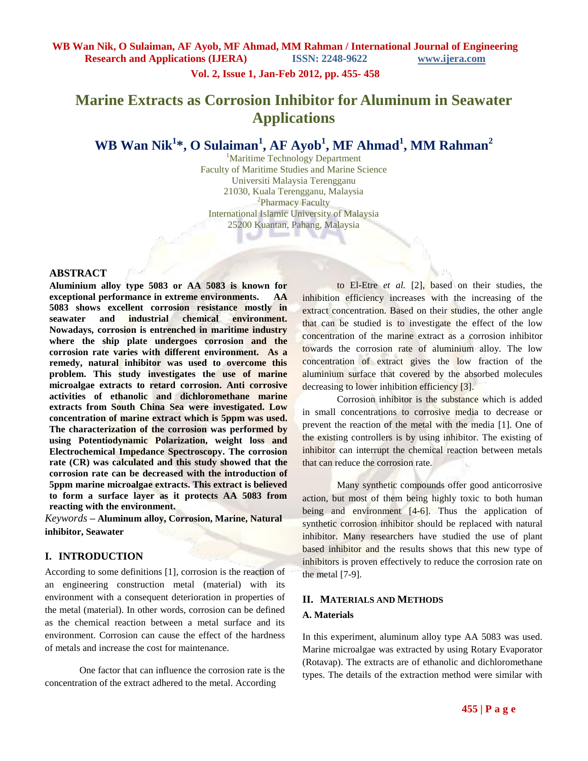# **Vol. 2, Issue 1, Jan-Feb 2012, pp. 455- 458**

# **Marine Extracts as Corrosion Inhibitor for Aluminum in Seawater Applications**

# **WB Wan Nik<sup>1</sup> \*, O Sulaiman<sup>1</sup> , AF Ayob<sup>1</sup> , MF Ahmad<sup>1</sup> , MM Rahman<sup>2</sup>**

<sup>1</sup>Maritime Technology Department Faculty of Maritime Studies and Marine Science Universiti Malaysia Terengganu 21030, Kuala Terengganu, Malaysia <sup>2</sup>Pharmacy Faculty International Islamic University of Malaysia 25200 Kuantan, Pahang, Malaysia

#### **ABSTRACT**

**Aluminium alloy type 5083 or AA 5083 is known for exceptional performance in extreme environments. AA 5083 shows excellent corrosion resistance mostly in seawater and industrial chemical environment. Nowadays, corrosion is entrenched in maritime industry where the ship plate undergoes corrosion and the corrosion rate varies with different environment. As a remedy, natural inhibitor was used to overcome this problem. This study investigates the use of marine microalgae extracts to retard corrosion. Anti corrosive activities of ethanolic and dichloromethane marine extracts from South China Sea were investigated. Low concentration of marine extract which is 5ppm was used. The characterization of the corrosion was performed by using Potentiodynamic Polarization, weight loss and Electrochemical Impedance Spectroscopy. The corrosion rate (CR) was calculated and this study showed that the corrosion rate can be decreased with the introduction of 5ppm marine microalgae extracts. This extract is believed to form a surface layer as it protects AA 5083 from reacting with the environment.**

*Keywords* **– Aluminum alloy, Corrosion, Marine, Natural inhibitor, Seawater** 

# **I. INTRODUCTION**

According to some definitions [1], corrosion is the reaction of an engineering construction metal (material) with its environment with a consequent deterioration in properties of the metal (material). In other words, corrosion can be defined as the chemical reaction between a metal surface and its environment. Corrosion can cause the effect of the hardness of metals and increase the cost for maintenance.

One factor that can influence the corrosion rate is the concentration of the extract adhered to the metal. According

to El-Etre *et al.* [2], based on their studies, the inhibition efficiency increases with the increasing of the extract concentration. Based on their studies, the other angle that can be studied is to investigate the effect of the low concentration of the marine extract as a corrosion inhibitor towards the corrosion rate of aluminium alloy. The low concentration of extract gives the low fraction of the aluminium surface that covered by the absorbed molecules decreasing to lower inhibition efficiency [3].

Corrosion inhibitor is the substance which is added in small concentrations to corrosive media to decrease or prevent the reaction of the metal with the media [1]. One of the existing controllers is by using inhibitor. The existing of inhibitor can interrupt the chemical reaction between metals that can reduce the corrosion rate.

Many synthetic compounds offer good anticorrosive action, but most of them being highly toxic to both human being and environment [4-6]. Thus the application of synthetic corrosion inhibitor should be replaced with natural inhibitor. Many researchers have studied the use of plant based inhibitor and the results shows that this new type of inhibitors is proven effectively to reduce the corrosion rate on the metal [7-9].

# **II. MATERIALS AND METHODS**

# **A. Materials**

In this experiment, aluminum alloy type AA 5083 was used. Marine microalgae was extracted by using Rotary Evaporator (Rotavap). The extracts are of ethanolic and dichloromethane types. The details of the extraction method were similar with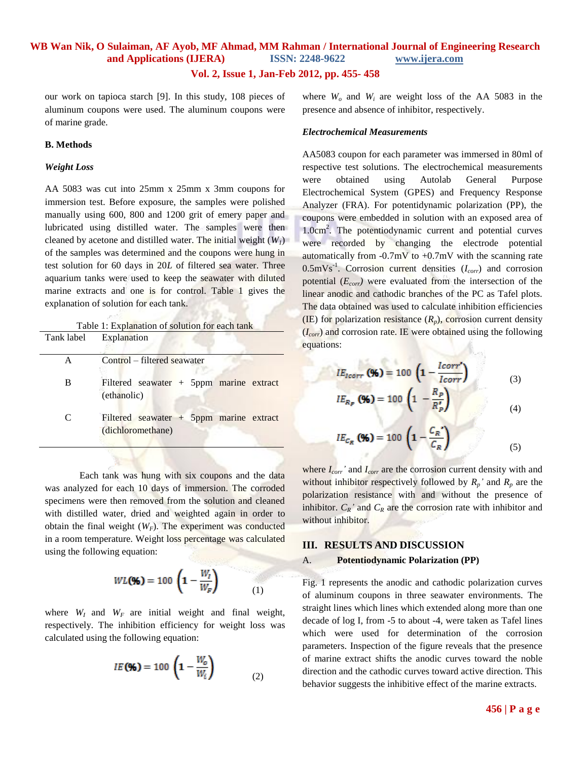# **WB Wan Nik, O Sulaiman, AF Ayob, MF Ahmad, MM Rahman / International Journal of Engineering Research and Applications (IJERA) ISSN: 2248-9622 www.ijera.com**

# **Vol. 2, Issue 1, Jan-Feb 2012, pp. 455- 458**

our work on tapioca starch [9]. In this study, 108 pieces of aluminum coupons were used. The aluminum coupons were of marine grade.

#### **B. Methods**

#### *Weight Loss*

AA 5083 was cut into 25mm x 25mm x 3mm coupons for immersion test. Before exposure, the samples were polished manually using 600, 800 and 1200 grit of emery paper and lubricated using distilled water. The samples were then cleaned by acetone and distilled water. The initial weight  $(W<sub>1</sub>)$ of the samples was determined and the coupons were hung in test solution for 60 days in 20*L* of filtered sea water. Three aquarium tanks were used to keep the seawater with diluted marine extracts and one is for control. Table 1 gives the explanation of solution for each tank.

Table 1: Explanation of solution for each tank

| Tank label | Explanation                                                    |  |  |  |
|------------|----------------------------------------------------------------|--|--|--|
| A          | Control – filtered seawater                                    |  |  |  |
| B          | Filtered seawater + $5$ ppm marine extract<br>(ethanolic)      |  |  |  |
| C          | Filtered seawater $+$ 5ppm marine extract<br>(dichloromethane) |  |  |  |

Each tank was hung with six coupons and the data was analyzed for each 10 days of immersion. The corroded specimens were then removed from the solution and cleaned with distilled water, dried and weighted again in order to obtain the final weight  $(W_F)$ . The experiment was conducted in a room temperature. Weight loss percentage was calculated using the following equation:

$$
WL(\mathcal{Y}_0) = 100 \left( 1 - \frac{W_I}{W_F} \right) \tag{1}
$$

where  $W_I$  and  $W_F$  are initial weight and final weight, respectively. The inhibition efficiency for weight loss was calculated using the following equation:

$$
IE(\mathcal{Y}_0) = 100 \left( 1 - \frac{W_o}{W_i} \right) \tag{2}
$$

where  $W<sub>o</sub>$  and  $W<sub>i</sub>$  are weight loss of the AA 5083 in the presence and absence of inhibitor, respectively.

#### *Electrochemical Measurements*

AA5083 coupon for each parameter was immersed in 80ml of respective test solutions. The electrochemical measurements were obtained using Autolab General Purpose Electrochemical System (GPES) and Frequency Response Analyzer (FRA). For potentidynamic polarization (PP), the coupons were embedded in solution with an exposed area of 1.0cm<sup>2</sup>. The potentiodynamic current and potential curves were recorded by changing the electrode potential automatically from  $-0.7mV$  to  $+0.7mV$  with the scanning rate 0.5mVs-1 . Corrosion current densities (*Icorr*) and corrosion potential (*Ecorr)* were evaluated from the intersection of the linear anodic and cathodic branches of the PC as Tafel plots. The data obtained was used to calculate inhibition efficiencies (IE) for polarization resistance  $(R_p)$ , corrosion current density (*Icorr*) and corrosion rate. IE were obtained using the following equations:

$$
IE_{loorr} (96) = 100 \left(1 - \frac{loorr'}{Icorr}\right) \tag{3}
$$

$$
IE_{R_P}(\mathcal{Y}_0) = 100 \left(1 - \frac{R_P}{R_P'}\right) \tag{4}
$$

$$
IE_{C_R} \text{ (96)} = 100 \left( 1 - \frac{C_R'}{C_R} \right) \tag{5}
$$

where *Icorr'* and *Icorr* are the corrosion current density with and without inhibitor respectively followed by  $R_p$ <sup>*'*</sup> and  $R_p$  are the polarization resistance with and without the presence of inhibitor.  $C_R$ <sup>'</sup> and  $C_R$  are the corrosion rate with inhibitor and without inhibitor.

#### **III. RESULTS AND DISCUSSION**

#### A. **Potentiodynamic Polarization (PP)**

Fig. 1 represents the anodic and cathodic polarization curves of aluminum coupons in three seawater environments. The straight lines which lines which extended along more than one decade of log I, from -5 to about -4, were taken as Tafel lines which were used for determination of the corrosion parameters. Inspection of the figure reveals that the presence of marine extract shifts the anodic curves toward the noble direction and the cathodic curves toward active direction. This behavior suggests the inhibitive effect of the marine extracts.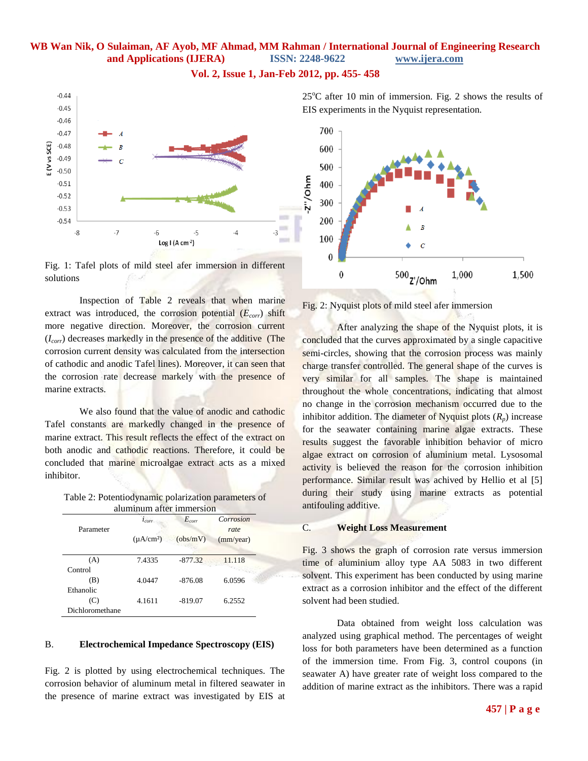# **WB Wan Nik, O Sulaiman, AF Ayob, MF Ahmad, MM Rahman / International Journal of Engineering Research and Applications (IJERA) ISSN: 2248-9622 www.ijera.com**

#### **Vol. 2, Issue 1, Jan-Feb 2012, pp. 455- 458**



Fig. 1: Tafel plots of mild steel afer immersion in different solutions

Inspection of Table 2 reveals that when marine extract was introduced, the corrosion potential (*Ecorr*) shift more negative direction. Moreover, the corrosion current (*Icorr*) decreases markedly in the presence of the additive (The corrosion current density was calculated from the intersection of cathodic and anodic Tafel lines). Moreover, it can seen that the corrosion rate decrease markely with the presence of marine extracts.

We also found that the value of anodic and cathodic Tafel constants are markedly changed in the presence of marine extract. This result reflects the effect of the extract on both anodic and cathodic reactions. Therefore, it could be concluded that marine microalgae extract acts as a mixed inhibitor.

Table 2: Potentiodynamic polarization parameters of aluminum after immersion

| aluminum alter immersion |                |            |                   |  |  |
|--------------------------|----------------|------------|-------------------|--|--|
| Parameter                | $l_{corr}$     | $E_{corr}$ | Corrosion<br>rate |  |  |
|                          | $(\mu A/cm^2)$ | (obs/mV)   | (mm/year)         |  |  |
| (A)                      | 7.4335         | $-877.32$  | 11.118            |  |  |
| Control                  |                |            |                   |  |  |
| (B)                      | 4.0447         | $-876.08$  | 6.0596            |  |  |
| Ethanolic                |                |            |                   |  |  |
| (C)                      | 4.1611         | $-819.07$  | 6.2552            |  |  |
| Dichloromethane          |                |            |                   |  |  |

### B. **Electrochemical Impedance Spectroscopy (EIS)**

Fig. 2 is plotted by using electrochemical techniques. The corrosion behavior of aluminum metal in filtered seawater in the presence of marine extract was investigated by EIS at  $25^{\circ}$ C after 10 min of immersion. Fig. 2 shows the results of EIS experiments in the Nyquist representation.





After analyzing the shape of the Nyquist plots, it is concluded that the curves approximated by a single capacitive semi-circles, showing that the corrosion process was mainly charge transfer controlled. The general shape of the curves is very similar for all samples. The shape is maintained throughout the whole concentrations, indicating that almost no change in the corrosion mechanism occurred due to the inhibitor addition. The diameter of Nyquist plots  $(R_p)$  increase for the seawater containing marine algae extracts. These results suggest the favorable inhibition behavior of micro algae extract on corrosion of aluminium metal. Lysosomal activity is believed the reason for the corrosion inhibition performance. Similar result was achived by Hellio et al [5] during their study using marine extracts as potential antifouling additive.

### C. **Weight Loss Measurement**

Fig. 3 shows the graph of corrosion rate versus immersion time of aluminium alloy type AA 5083 in two different solvent. This experiment has been conducted by using marine extract as a corrosion inhibitor and the effect of the different solvent had been studied.

Data obtained from weight loss calculation was analyzed using graphical method. The percentages of weight loss for both parameters have been determined as a function of the immersion time. From Fig. 3, control coupons (in seawater A) have greater rate of weight loss compared to the addition of marine extract as the inhibitors. There was a rapid